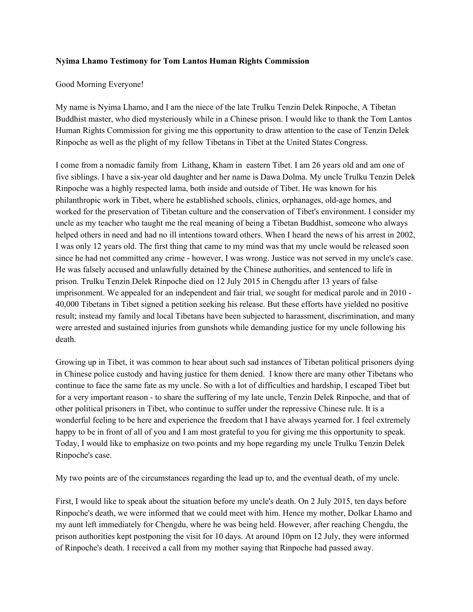## **Nyima Lhamo Testimony for Tom Lantos Human Rights Commission**

## Good Morning Everyone!

My name is Nyima Lhamo, and I am the niece of the late Trulku Tenzin Delek Rinpoche, A Tibetan Buddhist master, who died mysteriously while in a Chinese prison. I would like to thank the Tom Lantos Human Rights Commission for giving me this opportunity to draw attention to the case of Tenzin Delek Rinpoche as well as the plight of my fellow Tibetans in Tibet at the United States Congress.

I come from a nomadic family from Lithang, Kham in eastern Tibet. I am 26 years old and am one of five siblings. I have a six-year old daughter and her name is Dawa Dolma. My uncle Trulku Tenzin Delek Rinpoche was a highly respected lama, both inside and outside of Tibet. He was known for his philanthropic work in Tibet, where he established schools, clinics, orphanages, old-age homes, and worked for the preservation of Tibetan culture and the conservation of Tibet's environment. I consider my uncle as my teacher who taught me the real meaning of being a Tibetan Buddhist, someone who always helped others in need and had no ill intentions toward others. When I heard the news of his arrest in 2002, I was only 12 years old. The first thing that came to my mind was that my uncle would be released soon since he had not committed any crime - however, I was wrong. Justice was not served in my uncle's case. He was falsely accused and unlawfully detained by the Chinese authorities, and sentenced to life in prison. Trulku Tenzin Delek Rinpoche died on 12 July 2015 in Chengdu after 13 years of false imprisonment. We appealed for an independent and fair trial, we sought for medical parole and in 2010 - 40,000 Tibetans in Tibet signed a petition seeking his release. But these efforts have yielded no positive result; instead my family and local Tibetans have been subjected to harassment, discrimination, and many were arrested and sustained injuries from gunshots while demanding justice for my uncle following his death.

Growing up in Tibet, it was common to hear about such sad instances of Tibetan political prisoners dying in Chinese police custody and having justice for them denied. I know there are many other Tibetans who continue to face the same fate as my uncle. So with a lot of difficulties and hardship, I escaped Tibet but for a very important reason - to share the suffering of my late uncle, Tenzin Delek Rinpoche, and that of other political prisoners in Tibet, who continue to suffer under the repressive Chinese rule. It is a wonderful feeling to be here and experience the freedom that I have always yearned for. I feel extremely happy to be in front of all of you and I am most grateful to you for giving me this opportunity to speak. Today, I would like to emphasize on two points and my hope regarding my uncle Trulku Tenzin Delek Rinpoche's case.

My two points are of the circumstances regarding the lead up to, and the eventual death, of my uncle.

First, I would like to speak about the situation before my uncle's death. On 2 July 2015, ten days before Rinpoche's death, we were informed that we could meet with him. Hence my mother, Dolkar Lhamo and my aunt left immediately for Chengdu, where he was being held. However, after reaching Chengdu, the prison authorities kept postponing the visit for 10 days. At around 10pm on 12 July, they were informed of Rinpoche's death. I received a call from my mother saying that Rinpoche had passed away.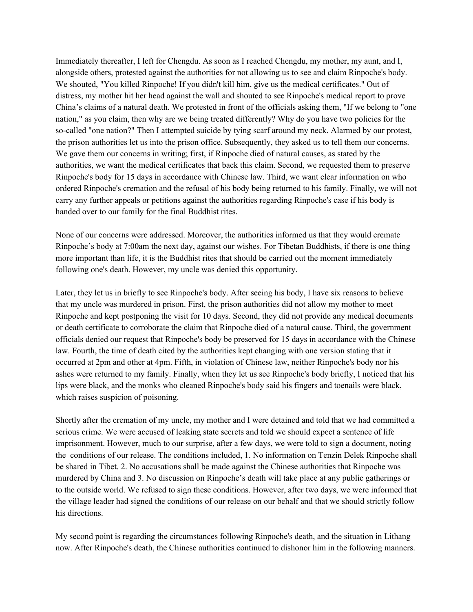Immediately thereafter, I left for Chengdu. As soon as I reached Chengdu, my mother, my aunt, and I, alongside others, protested against the authorities for not allowing us to see and claim Rinpoche's body. We shouted, "You killed Rinpoche! If you didn't kill him, give us the medical certificates." Out of distress, my mother hit her head against the wall and shouted to see Rinpoche's medical report to prove China's claims of a natural death. We protested in front of the officials asking them, "If we belong to "one nation," as you claim, then why are we being treated differently? Why do you have two policies for the so-called "one nation?" Then I attempted suicide by tying scarf around my neck. Alarmed by our protest, the prison authorities let us into the prison office. Subsequently, they asked us to tell them our concerns. We gave them our concerns in writing; first, if Rinpoche died of natural causes, as stated by the authorities, we want the medical certificates that back this claim. Second, we requested them to preserve Rinpoche's body for 15 days in accordance with Chinese law. Third, we want clear information on who ordered Rinpoche's cremation and the refusal of his body being returned to his family. Finally, we will not carry any further appeals or petitions against the authorities regarding Rinpoche's case if his body is handed over to our family for the final Buddhist rites.

None of our concerns were addressed. Moreover, the authorities informed us that they would cremate Rinpoche's body at 7:00am the next day, against our wishes. For Tibetan Buddhists, if there is one thing more important than life, it is the Buddhist rites that should be carried out the moment immediately following one's death. However, my uncle was denied this opportunity.

Later, they let us in briefly to see Rinpoche's body. After seeing his body, I have six reasons to believe that my uncle was murdered in prison. First, the prison authorities did not allow my mother to meet Rinpoche and kept postponing the visit for 10 days. Second, they did not provide any medical documents or death certificate to corroborate the claim that Rinpoche died of a natural cause. Third, the government officials denied our request that Rinpoche's body be preserved for 15 days in accordance with the Chinese law. Fourth, the time of death cited by the authorities kept changing with one version stating that it occurred at 2pm and other at 4pm. Fifth, in violation of Chinese law, neither Rinpoche's body nor his ashes were returned to my family. Finally, when they let us see Rinpoche's body briefly, I noticed that his lips were black, and the monks who cleaned Rinpoche's body said his fingers and toenails were black, which raises suspicion of poisoning.

Shortly after the cremation of my uncle, my mother and I were detained and told that we had committed a serious crime. We were accused of leaking state secrets and told we should expect a sentence of life imprisonment. However, much to our surprise, after a few days, we were told to sign a document, noting the conditions of our release. The conditions included, 1. No information on Tenzin Delek Rinpoche shall be shared in Tibet. 2. No accusations shall be made against the Chinese authorities that Rinpoche was murdered by China and 3. No discussion on Rinpoche's death will take place at any public gatherings or to the outside world. We refused to sign these conditions. However, after two days, we were informed that the village leader had signed the conditions of our release on our behalf and that we should strictly follow his directions.

My second point is regarding the circumstances following Rinpoche's death, and the situation in Lithang now. After Rinpoche's death, the Chinese authorities continued to dishonor him in the following manners.